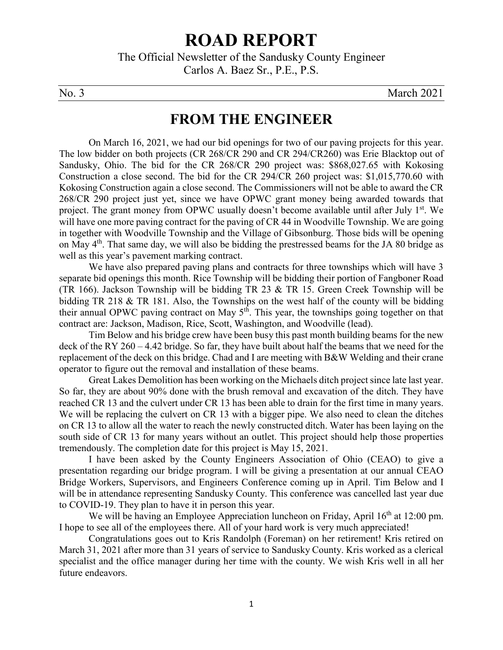# **ROAD REPORT**

The Official Newsletter of the Sandusky County Engineer Carlos A. Baez Sr., P.E., P.S.

No. 3 March 2021

### **FROM THE ENGINEER**

On March 16, 2021, we had our bid openings for two of our paving projects for this year. The low bidder on both projects (CR 268/CR 290 and CR 294/CR260) was Erie Blacktop out of Sandusky, Ohio. The bid for the CR 268/CR 290 project was: \$868,027.65 with Kokosing Construction a close second. The bid for the CR 294/CR 260 project was: \$1,015,770.60 with Kokosing Construction again a close second. The Commissioners will not be able to award the CR 268/CR 290 project just yet, since we have OPWC grant money being awarded towards that project. The grant money from OPWC usually doesn't become available until after July  $1<sup>st</sup>$ . We will have one more paving contract for the paving of CR 44 in Woodville Township. We are going in together with Woodville Township and the Village of Gibsonburg. Those bids will be opening on May 4th. That same day, we will also be bidding the prestressed beams for the JA 80 bridge as well as this year's pavement marking contract.

We have also prepared paving plans and contracts for three townships which will have 3 separate bid openings this month. Rice Township will be bidding their portion of Fangboner Road (TR 166). Jackson Township will be bidding TR 23 & TR 15. Green Creek Township will be bidding TR 218 & TR 181. Also, the Townships on the west half of the county will be bidding their annual OPWC paving contract on May  $5<sup>th</sup>$ . This year, the townships going together on that contract are: Jackson, Madison, Rice, Scott, Washington, and Woodville (lead).

Tim Below and his bridge crew have been busy this past month building beams for the new deck of the RY 260 – 4.42 bridge. So far, they have built about half the beams that we need for the replacement of the deck on this bridge. Chad and I are meeting with B&W Welding and their crane operator to figure out the removal and installation of these beams.

Great Lakes Demolition has been working on the Michaels ditch project since late last year. So far, they are about 90% done with the brush removal and excavation of the ditch. They have reached CR 13 and the culvert under CR 13 has been able to drain for the first time in many years. We will be replacing the culvert on CR 13 with a bigger pipe. We also need to clean the ditches on CR 13 to allow all the water to reach the newly constructed ditch. Water has been laying on the south side of CR 13 for many years without an outlet. This project should help those properties tremendously. The completion date for this project is May 15, 2021.

I have been asked by the County Engineers Association of Ohio (CEAO) to give a presentation regarding our bridge program. I will be giving a presentation at our annual CEAO Bridge Workers, Supervisors, and Engineers Conference coming up in April. Tim Below and I will be in attendance representing Sandusky County. This conference was cancelled last year due to COVID-19. They plan to have it in person this year.

We will be having an Employee Appreciation luncheon on Friday, April  $16<sup>th</sup>$  at 12:00 pm. I hope to see all of the employees there. All of your hard work is very much appreciated!

Congratulations goes out to Kris Randolph (Foreman) on her retirement! Kris retired on March 31, 2021 after more than 31 years of service to Sandusky County. Kris worked as a clerical specialist and the office manager during her time with the county. We wish Kris well in all her future endeavors.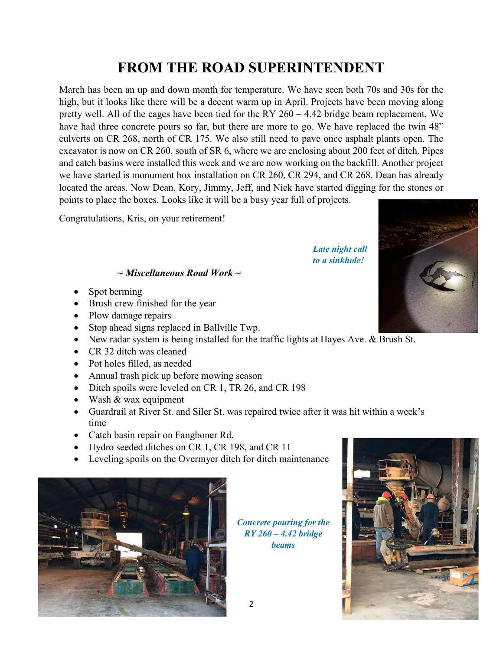## **FROM THE ROAD SUPERINTENDENT**

March has been an up and down month for temperature. We have seen both 70s and 30s for the high, but it looks like there will be a decent warm up in April. Projects have been moving along pretty well. All of the cages have been tied for the RY 260 – 4.42 bridge beam replacement. We have had three concrete pours so far, but there are more to go. We have replaced the twin 48" culverts on CR 268, north of CR 175. We also still need to pave once asphalt plants open. The excavator is now on CR 260, south of SR 6, where we are enclosing about 200 feet of ditch. Pipes and catch basins were installed this week and we are now working on the backfill. Another project we have started is monument box installation on CR 260, CR 294, and CR 268. Dean has already located the areas. Now Dean, Kory, Jimmy, Jeff, and Nick have started digging for the stones or points to place the boxes. Looks like it will be a busy year full of projects.

Congratulations, Kris, on your retirement!

*Late night call to a sinkhole!*

#### *~ Miscellaneous Road Work ~*

- Spot berming
- Brush crew finished for the year
- Plow damage repairs
- Stop ahead signs replaced in Ballville Twp.
- New radar system is being installed for the traffic lights at Hayes Ave. & Brush St.
- CR 32 ditch was cleaned
- Pot holes filled, as needed
- Annual trash pick up before mowing season
- Ditch spoils were leveled on CR 1, TR 26, and CR 198
- Wash & wax equipment
- Guardrail at River St. and Siler St. was repaired twice after it was hit within a week's time
- Catch basin repair on Fangboner Rd.
- Hydro seeded ditches on CR 1, CR 198, and CR 11
- Leveling spoils on the Overmyer ditch for ditch maintenance



*Concrete pouring for the RY 260 – 4.42 bridge beams*



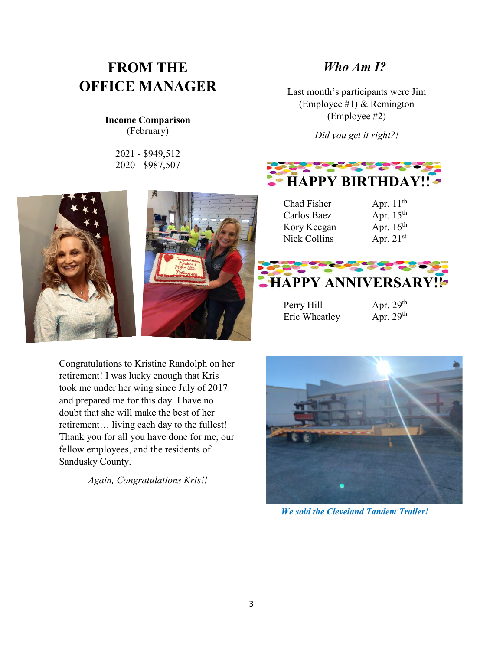# **FROM THE OFFICE MANAGER**

#### **Income Comparison** (February)

2021 - \$949,512 2020 - \$987,507





Congratulations to Kristine Randolph on her retirement! I was lucky enough that Kris took me under her wing since July of 2017 and prepared me for this day. I have no doubt that she will make the best of her retirement… living each day to the fullest! Thank you for all you have done for me, our fellow employees, and the residents of Sandusky County.

*Again, Congratulations Kris!!*

#### *Who Am I?*

Last month's participants were Jim (Employee #1) & Remington (Employee #2)

*Did you get it right?!*



Chad Fisher  $\qquad \qquad$  Apr. 11<sup>th</sup> Carlos Baez Apr. 15<sup>th</sup><br>Kory Keegan Apr. 16<sup>th</sup> Kory Keegan Nick Collins Apr. 21<sup>st</sup>





Perry Hill Apr. 29<sup>th</sup> Eric Wheatley Apr. 29<sup>th</sup>



*We sold the Cleveland Tandem Trailer!*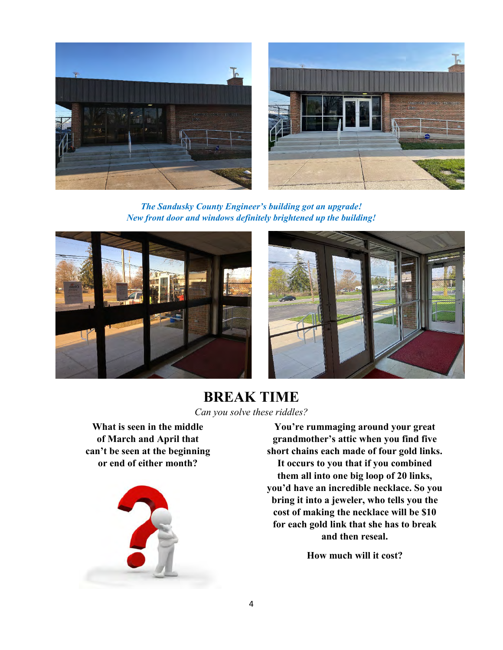

*The Sandusky County Engineer's building got an upgrade! New front door and windows definitely brightened up the building!* 





**BREAK TIME** *Can you solve these riddles?* 

**What is seen in the middle of March and April that can't be seen at the beginning or end of either month?**



**You're rummaging around your great grandmother's attic when you find five short chains each made of four gold links. It occurs to you that if you combined them all into one big loop of 20 links, you'd have an incredible necklace. So you bring it into a jeweler, who tells you the cost of making the necklace will be \$10 for each gold link that she has to break and then reseal.**

**How much will it cost?**